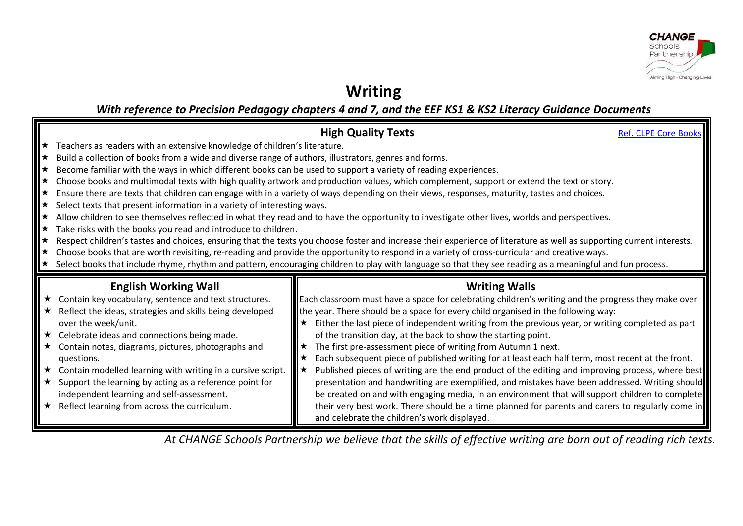

## **Writing**

*With reference to Precision Pedagogy chapters 4 and 7, and the EEF KS1 & KS2 Literacy Guidance Documents*

|                                                                                                                                                 | <b>High Quality Texts</b>                                                                                                                                                                        | <b>Ref. CLPE Core Books</b> |
|-------------------------------------------------------------------------------------------------------------------------------------------------|--------------------------------------------------------------------------------------------------------------------------------------------------------------------------------------------------|-----------------------------|
| $\star$ Teachers as readers with an extensive knowledge of children's literature.                                                               |                                                                                                                                                                                                  |                             |
| ★ Build a collection of books from a wide and diverse range of authors, illustrators, genres and forms.                                         |                                                                                                                                                                                                  |                             |
| ★ Become familiar with the ways in which different books can be used to support a variety of reading experiences.                               |                                                                                                                                                                                                  |                             |
|                                                                                                                                                 | ★ Choose books and multimodal texts with high quality artwork and production values, which complement, support or extend the text or story.                                                      |                             |
| ★ Ensure there are texts that children can engage with in a variety of ways depending on their views, responses, maturity, tastes and choices.  |                                                                                                                                                                                                  |                             |
| $\star$ Select texts that present information in a variety of interesting ways.                                                                 |                                                                                                                                                                                                  |                             |
|                                                                                                                                                 | * Allow children to see themselves reflected in what they read and to have the opportunity to investigate other lives, worlds and perspectives.                                                  |                             |
| $\star$ Take risks with the books you read and introduce to children.                                                                           |                                                                                                                                                                                                  |                             |
|                                                                                                                                                 | * Respect children's tastes and choices, ensuring that the texts you choose foster and increase their experience of literature as well as supporting current interests.                          |                             |
| ★ Choose books that are worth revisiting, re-reading and provide the opportunity to respond in a variety of cross-curricular and creative ways. |                                                                                                                                                                                                  |                             |
|                                                                                                                                                 | * Select books that include rhyme, rhythm and pattern, encouraging children to play with language so that they see reading as a meaningful and fun process.                                      |                             |
|                                                                                                                                                 |                                                                                                                                                                                                  |                             |
|                                                                                                                                                 |                                                                                                                                                                                                  |                             |
| <b>English Working Wall</b>                                                                                                                     | <b>Writing Walls</b>                                                                                                                                                                             |                             |
| ★ Contain key vocabulary, sentence and text structures.                                                                                         | Each classroom must have a space for celebrating children's writing and the progress they make over                                                                                              |                             |
| ★ Reflect the ideas, strategies and skills being developed<br>over the week/unit.                                                               | <b>If</b> the year. There should be a space for every child organised in the following way:<br>Either the last piece of independent writing from the previous year, or writing completed as part |                             |
| $\star$ Celebrate ideas and connections being made.                                                                                             | of the transition day, at the back to show the starting point.                                                                                                                                   |                             |
| ★ Contain notes, diagrams, pictures, photographs and                                                                                            | The first pre-assessment piece of writing from Autumn 1 next.                                                                                                                                    |                             |
| questions.                                                                                                                                      | Each subsequent piece of published writing for at least each half term, most recent at the front.                                                                                                |                             |
| $\star$ Contain modelled learning with writing in a cursive script.                                                                             | Published pieces of writing are the end product of the editing and improving process, where best<br>౹★                                                                                           |                             |
| $\star$ Support the learning by acting as a reference point for                                                                                 | presentation and handwriting are exemplified, and mistakes have been addressed. Writing should                                                                                                   |                             |
| independent learning and self-assessment.                                                                                                       | be created on and with engaging media, in an environment that will support children to complete                                                                                                  |                             |
| $\star$ Reflect learning from across the curriculum.                                                                                            | their very best work. There should be a time planned for parents and carers to regularly come in                                                                                                 |                             |

*At CHANGE Schools Partnership we believe that the skills of effective writing are born out of reading rich texts.*